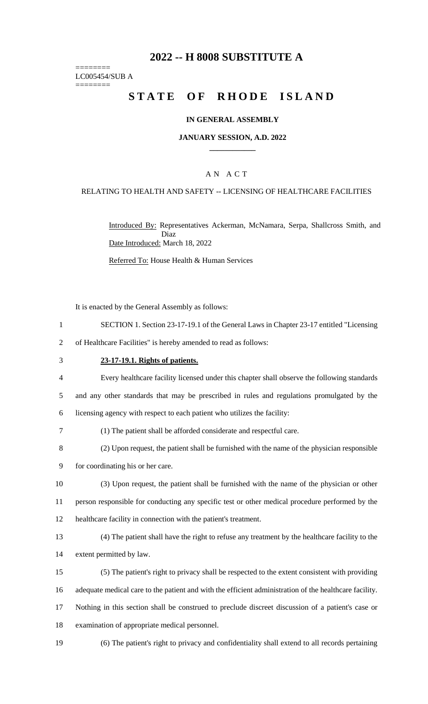# **2022 -- H 8008 SUBSTITUTE A**

======== LC005454/SUB A ========

# **STATE OF RHODE ISLAND**

#### **IN GENERAL ASSEMBLY**

#### **JANUARY SESSION, A.D. 2022 \_\_\_\_\_\_\_\_\_\_\_\_**

### A N A C T

#### RELATING TO HEALTH AND SAFETY -- LICENSING OF HEALTHCARE FACILITIES

Introduced By: Representatives Ackerman, McNamara, Serpa, Shallcross Smith, and Diaz Date Introduced: March 18, 2022

Referred To: House Health & Human Services

It is enacted by the General Assembly as follows:

1 SECTION 1. Section 23-17-19.1 of the General Laws in Chapter 23-17 entitled "Licensing

2 of Healthcare Facilities" is hereby amended to read as follows:

#### 3 **23-17-19.1. Rights of patients.**

4 Every healthcare facility licensed under this chapter shall observe the following standards 5 and any other standards that may be prescribed in rules and regulations promulgated by the

6 licensing agency with respect to each patient who utilizes the facility:

- 7 (1) The patient shall be afforded considerate and respectful care.
- 8 (2) Upon request, the patient shall be furnished with the name of the physician responsible

9 for coordinating his or her care.

10 (3) Upon request, the patient shall be furnished with the name of the physician or other 11 person responsible for conducting any specific test or other medical procedure performed by the 12 healthcare facility in connection with the patient's treatment.

- 13 (4) The patient shall have the right to refuse any treatment by the healthcare facility to the 14 extent permitted by law.
- 15 (5) The patient's right to privacy shall be respected to the extent consistent with providing 16 adequate medical care to the patient and with the efficient administration of the healthcare facility. 17 Nothing in this section shall be construed to preclude discreet discussion of a patient's case or
- 18 examination of appropriate medical personnel.
- 19 (6) The patient's right to privacy and confidentiality shall extend to all records pertaining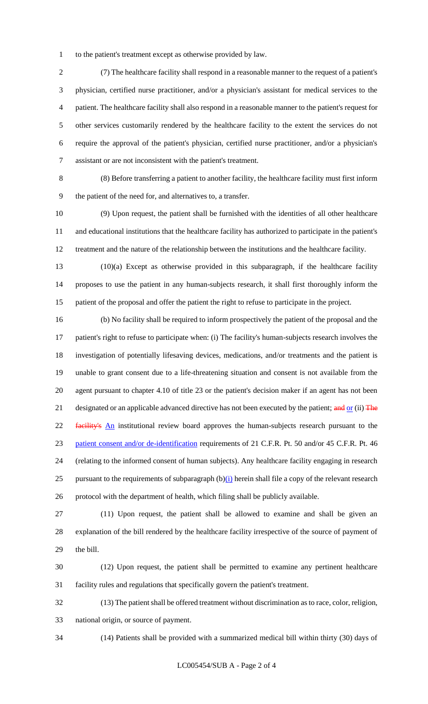to the patient's treatment except as otherwise provided by law.

 (7) The healthcare facility shall respond in a reasonable manner to the request of a patient's physician, certified nurse practitioner, and/or a physician's assistant for medical services to the patient. The healthcare facility shall also respond in a reasonable manner to the patient's request for other services customarily rendered by the healthcare facility to the extent the services do not require the approval of the patient's physician, certified nurse practitioner, and/or a physician's assistant or are not inconsistent with the patient's treatment.

 (8) Before transferring a patient to another facility, the healthcare facility must first inform the patient of the need for, and alternatives to, a transfer.

 (9) Upon request, the patient shall be furnished with the identities of all other healthcare and educational institutions that the healthcare facility has authorized to participate in the patient's treatment and the nature of the relationship between the institutions and the healthcare facility.

 (10)(a) Except as otherwise provided in this subparagraph, if the healthcare facility proposes to use the patient in any human-subjects research, it shall first thoroughly inform the patient of the proposal and offer the patient the right to refuse to participate in the project.

 (b) No facility shall be required to inform prospectively the patient of the proposal and the patient's right to refuse to participate when: (i) The facility's human-subjects research involves the investigation of potentially lifesaving devices, medications, and/or treatments and the patient is unable to grant consent due to a life-threatening situation and consent is not available from the agent pursuant to chapter 4.10 of title 23 or the patient's decision maker if an agent has not been 21 designated or an applicable advanced directive has not been executed by the patient; and or (ii) The 22 facility's An institutional review board approves the human-subjects research pursuant to the patient consent and/or de-identification requirements of 21 C.F.R. Pt. 50 and/or 45 C.F.R. Pt. 46 (relating to the informed consent of human subjects). Any healthcare facility engaging in research 25 pursuant to the requirements of subparagraph  $(b)(i)$  herein shall file a copy of the relevant research protocol with the department of health, which filing shall be publicly available.

 (11) Upon request, the patient shall be allowed to examine and shall be given an explanation of the bill rendered by the healthcare facility irrespective of the source of payment of the bill.

 (12) Upon request, the patient shall be permitted to examine any pertinent healthcare facility rules and regulations that specifically govern the patient's treatment.

 (13) The patient shall be offered treatment without discrimination as to race, color, religion, national origin, or source of payment.

(14) Patients shall be provided with a summarized medical bill within thirty (30) days of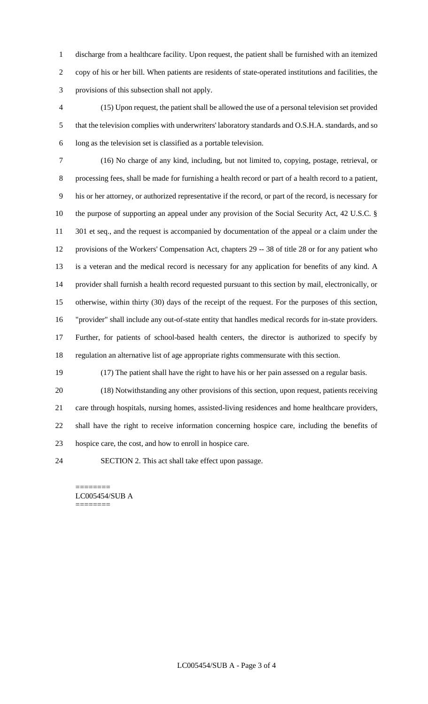discharge from a healthcare facility. Upon request, the patient shall be furnished with an itemized copy of his or her bill. When patients are residents of state-operated institutions and facilities, the provisions of this subsection shall not apply.

 (15) Upon request, the patient shall be allowed the use of a personal television set provided that the television complies with underwriters' laboratory standards and O.S.H.A. standards, and so long as the television set is classified as a portable television.

 (16) No charge of any kind, including, but not limited to, copying, postage, retrieval, or processing fees, shall be made for furnishing a health record or part of a health record to a patient, his or her attorney, or authorized representative if the record, or part of the record, is necessary for the purpose of supporting an appeal under any provision of the Social Security Act, 42 U.S.C. § 11 301 et seq., and the request is accompanied by documentation of the appeal or a claim under the provisions of the Workers' Compensation Act, chapters 29 -- 38 of title 28 or for any patient who is a veteran and the medical record is necessary for any application for benefits of any kind. A provider shall furnish a health record requested pursuant to this section by mail, electronically, or otherwise, within thirty (30) days of the receipt of the request. For the purposes of this section, "provider" shall include any out-of-state entity that handles medical records for in-state providers. Further, for patients of school-based health centers, the director is authorized to specify by regulation an alternative list of age appropriate rights commensurate with this section.

(17) The patient shall have the right to have his or her pain assessed on a regular basis.

 (18) Notwithstanding any other provisions of this section, upon request, patients receiving care through hospitals, nursing homes, assisted-living residences and home healthcare providers, shall have the right to receive information concerning hospice care, including the benefits of hospice care, the cost, and how to enroll in hospice care.

SECTION 2. This act shall take effect upon passage.

======== LC005454/SUB A ========